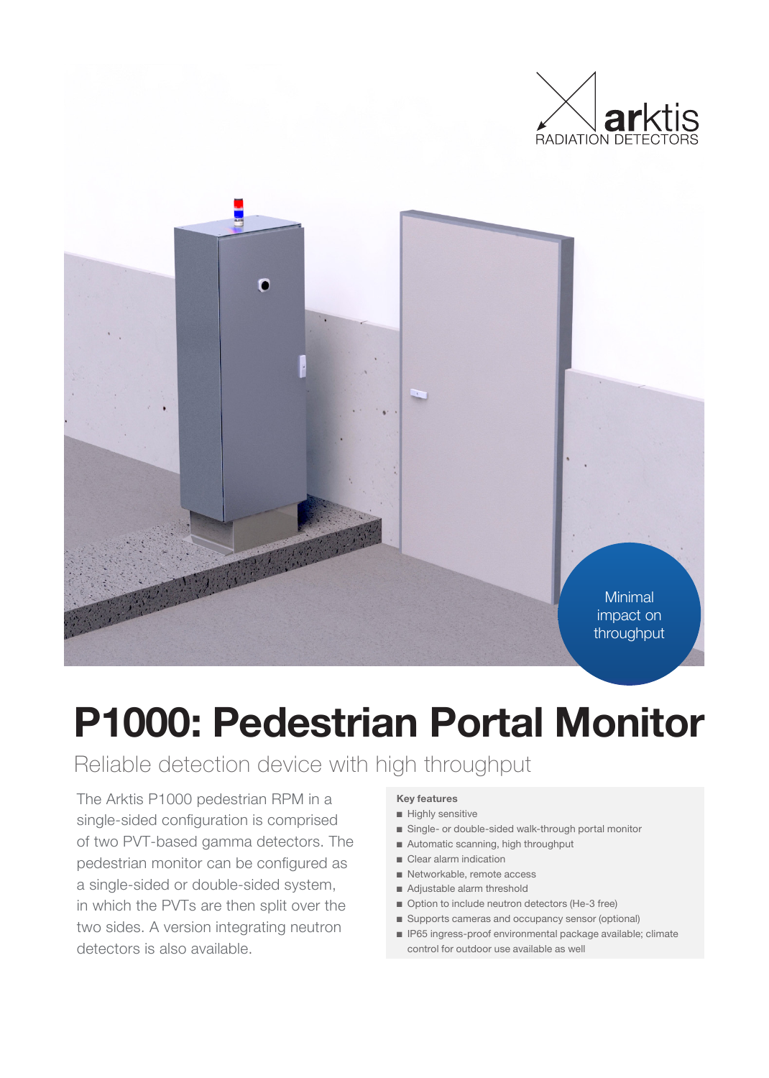



# **P1000: Pedestrian Portal Monitor**

### Reliable detection device with high throughput

The Arktis P1000 pedestrian RPM in a single-sided configuration is comprised of two PVT-based gamma detectors. The pedestrian monitor can be configured as a single-sided or double-sided system, in which the PVTs are then split over the two sides. A version integrating neutron detectors is also available.

### **Key features**

- Highly sensitive
- Single- or double-sided walk-through portal monitor
- Automatic scanning, high throughput
- Clear alarm indication
- Networkable, remote access
- Adjustable alarm threshold
- Option to include neutron detectors (He-3 free)
- Supports cameras and occupancy sensor (optional)
- IP65 ingress-proof environmental package available; climate control for outdoor use available as well